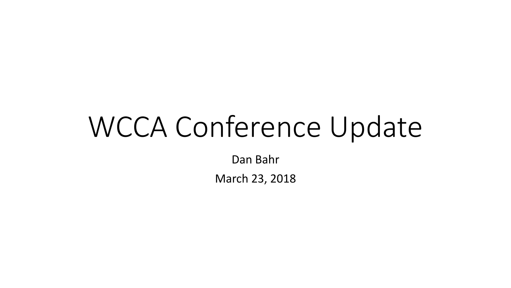# WCCA Conference Update

Dan Bahr

March 23, 2018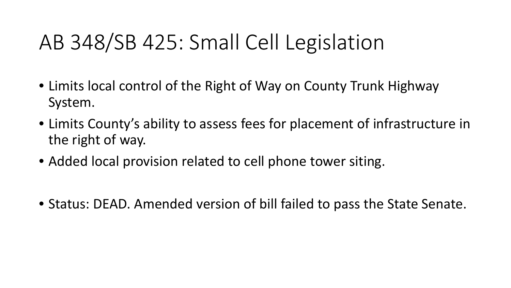### AB 348/SB 425: Small Cell Legislation

- Limits local control of the Right of Way on County Trunk Highway System.
- Limits County's ability to assess fees for placement of infrastructure in the right of way.
- Added local provision related to cell phone tower siting.
- Status: DEAD. Amended version of bill failed to pass the State Senate.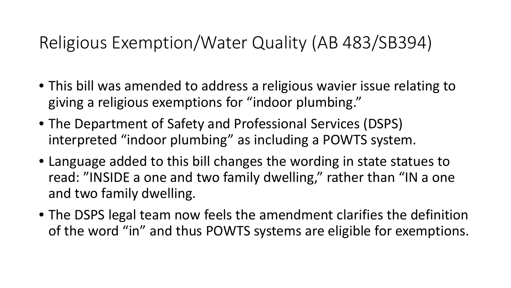#### Religious Exemption/Water Quality (AB 483/SB394)

- This bill was amended to address a religious wavier issue relating to giving a religious exemptions for "indoor plumbing."
- The Department of Safety and Professional Services (DSPS) interpreted "indoor plumbing" as including a POWTS system.
- Language added to this bill changes the wording in state statues to read: "INSIDE a one and two family dwelling," rather than "IN a one and two family dwelling.
- The DSPS legal team now feels the amendment clarifies the definition of the word "in" and thus POWTS systems are eligible for exemptions.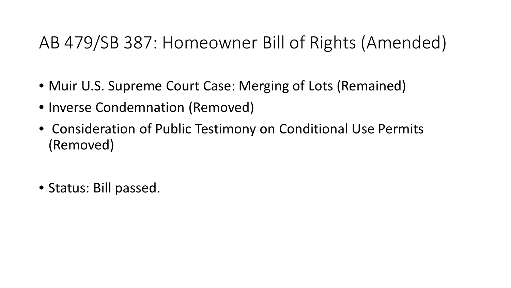#### AB 479/SB 387: Homeowner Bill of Rights (Amended)

- Muir U.S. Supreme Court Case: Merging of Lots (Remained)
- Inverse Condemnation (Removed)
- Consideration of Public Testimony on Conditional Use Permits (Removed)
- Status: Bill passed.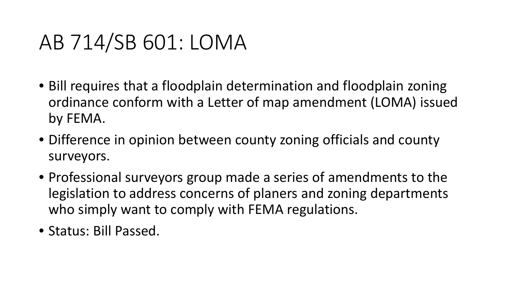### AB 714/SB 601: LOMA

- Bill requires that a floodplain determination and floodplain zoning ordinance conform with a Letter of map amendment (LOMA) issued by FEMA.
- Difference in opinion between county zoning officials and county surveyors.
- Professional surveyors group made a series of amendments to the legislation to address concerns of planers and zoning departments who simply want to comply with FEMA regulations.
- Status: Bill Passed.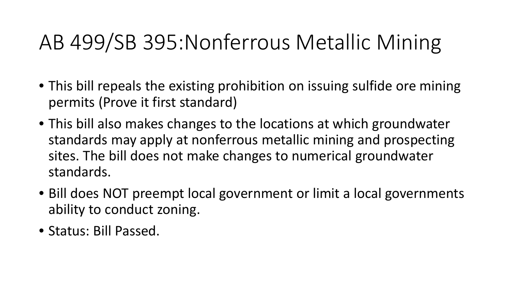### AB 499/SB 395:Nonferrous Metallic Mining

- This bill repeals the existing prohibition on issuing sulfide ore mining permits (Prove it first standard)
- This bill also makes changes to the locations at which groundwater standards may apply at nonferrous metallic mining and prospecting sites. The bill does not make changes to numerical groundwater standards.
- Bill does NOT preempt local government or limit a local governments ability to conduct zoning.
- Status: Bill Passed.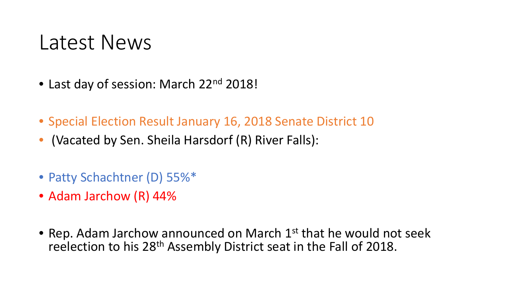#### Latest News

- Last day of session: March 22<sup>nd</sup> 2018!
- Special Election Result January 16, 2018 Senate District 10
- (Vacated by Sen. Sheila Harsdorf (R) River Falls):
- Patty Schachtner (D) 55%\*
- Adam Jarchow (R) 44%
- Rep. Adam Jarchow announced on March  $1<sup>st</sup>$  that he would not seek reelection to his 28th Assembly District seat in the Fall of 2018.